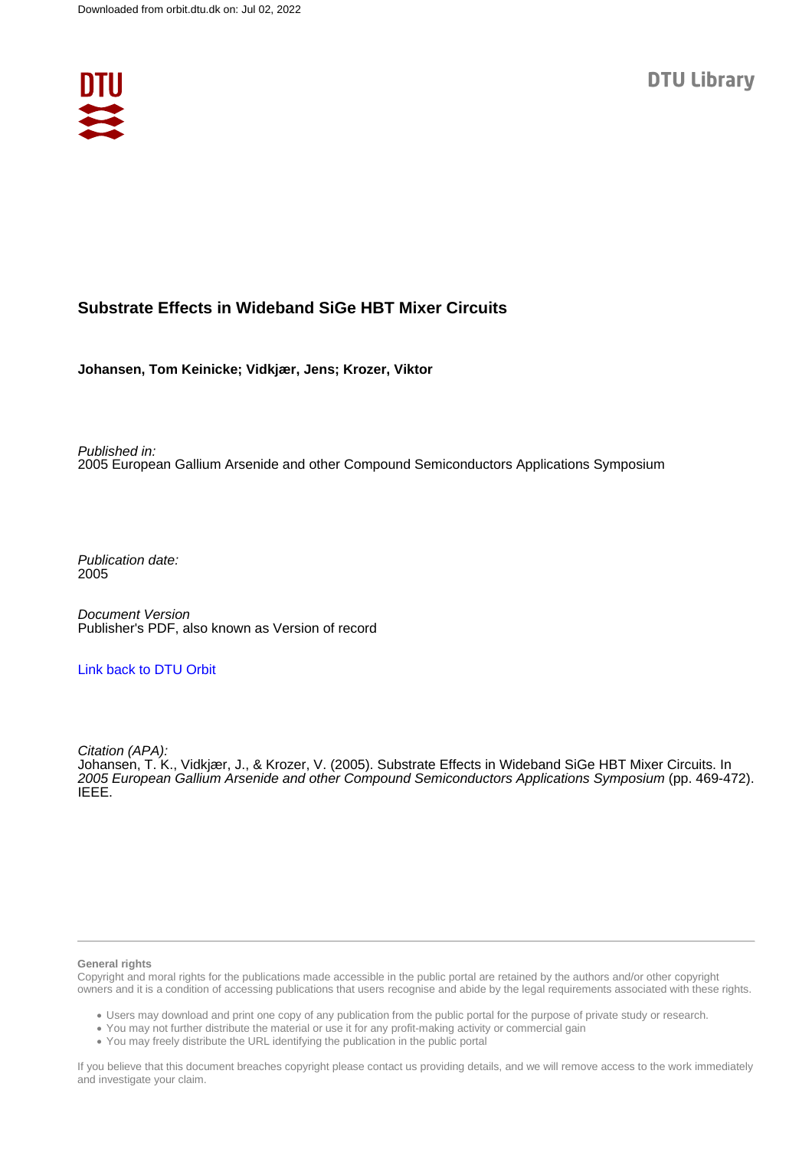

# **Substrate Effects in Wideband SiGe HBT Mixer Circuits**

**Johansen, Tom Keinicke; Vidkjær, Jens; Krozer, Viktor**

Published in: 2005 European Gallium Arsenide and other Compound Semiconductors Applications Symposium

Publication date: 2005

Document Version Publisher's PDF, also known as Version of record

# [Link back to DTU Orbit](https://orbit.dtu.dk/en/publications/b4f58851-7244-4088-898a-fa7582e0ea22)

Citation (APA): Johansen, T. K., Vidkjær, J., & Krozer, V. (2005). Substrate Effects in Wideband SiGe HBT Mixer Circuits. In 2005 European Gallium Arsenide and other Compound Semiconductors Applications Symposium (pp. 469-472). IEEE.

#### **General rights**

Copyright and moral rights for the publications made accessible in the public portal are retained by the authors and/or other copyright owners and it is a condition of accessing publications that users recognise and abide by the legal requirements associated with these rights.

Users may download and print one copy of any publication from the public portal for the purpose of private study or research.

- You may not further distribute the material or use it for any profit-making activity or commercial gain
- You may freely distribute the URL identifying the publication in the public portal

If you believe that this document breaches copyright please contact us providing details, and we will remove access to the work immediately and investigate your claim.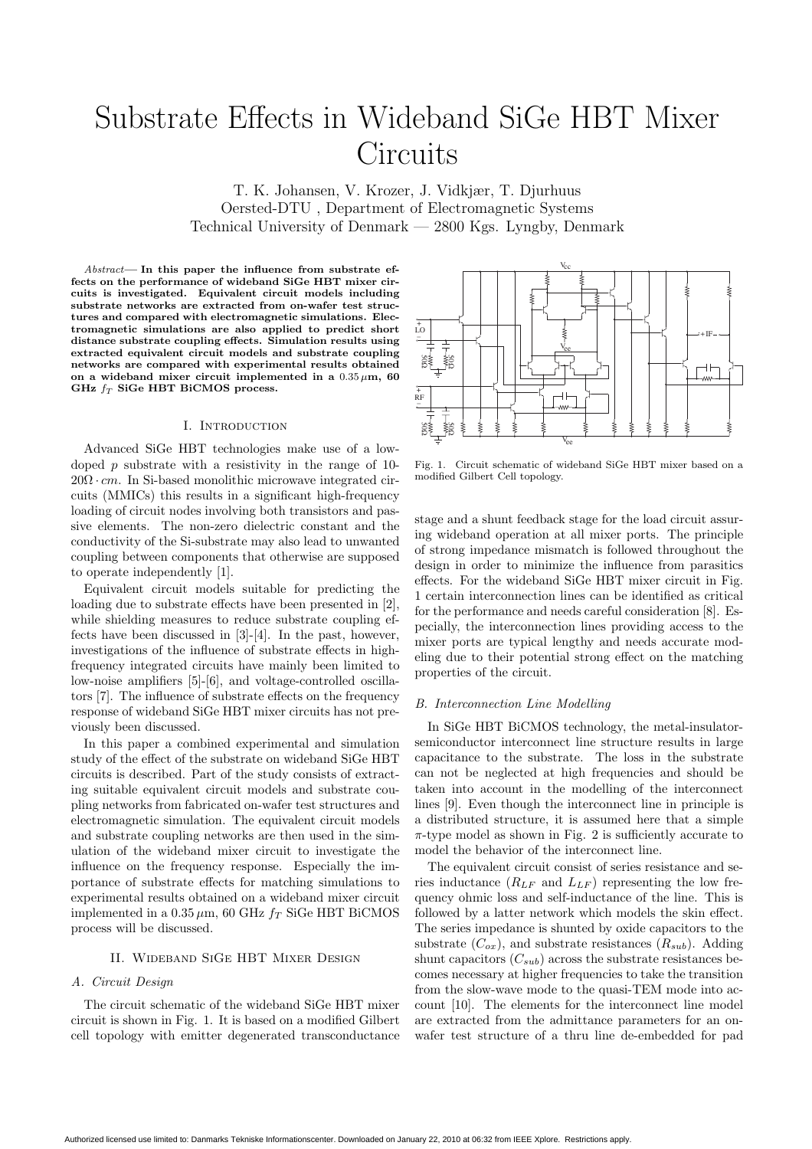# Substrate Effects in Wideband SiGe HBT Mixer **Circuits**

T. K. Johansen, V. Krozer, J. Vidkjær, T. Djurhuus Oersted-DTU , Department of Electromagnetic Systems Technical University of Denmark — 2800 Kgs. Lyngby, Denmark

Abstract**— In this paper the influence from substrate effects on the performance of wideband SiGe HBT mixer circuits is investigated. Equivalent circuit models including substrate networks are extracted from on-wafer test structures and compared with electromagnetic simulations. Electromagnetic simulations are also applied to predict short distance substrate coupling effects. Simulation results using extracted equivalent circuit models and substrate coupling networks are compared with experimental results obtained** on a wideband mixer circuit implemented in a  $0.35 \mu m$ , 60 GHz  $f_T$  SiGe HBT BiCMOS process.

#### I. Introduction

Advanced SiGe HBT technologies make use of a lowdoped  $p$  substrate with a resistivity in the range of 10- $20\Omega \cdot cm$ . In Si-based monolithic microwave integrated circuits (MMICs) this results in a significant high-frequency loading of circuit nodes involving both transistors and passive elements. The non-zero dielectric constant and the conductivity of the Si-substrate may also lead to unwanted coupling between components that otherwise are supposed to operate independently [1].

Equivalent circuit models suitable for predicting the loading due to substrate effects have been presented in [2], while shielding measures to reduce substrate coupling effects have been discussed in [3]-[4]. In the past, however, investigations of the influence of substrate effects in highfrequency integrated circuits have mainly been limited to low-noise amplifiers [5]-[6], and voltage-controlled oscillators [7]. The influence of substrate effects on the frequency response of wideband SiGe HBT mixer circuits has not previously been discussed.

In this paper a combined experimental and simulation study of the effect of the substrate on wideband SiGe HBT circuits is described. Part of the study consists of extracting suitable equivalent circuit models and substrate coupling networks from fabricated on-wafer test structures and electromagnetic simulation. The equivalent circuit models and substrate coupling networks are then used in the simulation of the wideband mixer circuit to investigate the influence on the frequency response. Especially the importance of substrate effects for matching simulations to experimental results obtained on a wideband mixer circuit implemented in a  $0.35 \mu m$ , 60 GHz  $f_T$  SiGe HBT BiCMOS process will be discussed.

#### II. Wideband SiGe HBT Mixer Design

#### A. Circuit Design

The circuit schematic of the wideband SiGe HBT mixer circuit is shown in Fig. 1. It is based on a modified Gilbert cell topology with emitter degenerated transconductance



Fig. 1. Circuit schematic of wideband SiGe HBT mixer based on a modified Gilbert Cell topology.

stage and a shunt feedback stage for the load circuit assuring wideband operation at all mixer ports. The principle of strong impedance mismatch is followed throughout the design in order to minimize the influence from parasitics effects. For the wideband SiGe HBT mixer circuit in Fig. 1 certain interconnection lines can be identified as critical for the performance and needs careful consideration [8]. Especially, the interconnection lines providing access to the mixer ports are typical lengthy and needs accurate modeling due to their potential strong effect on the matching properties of the circuit.

#### B. Interconnection Line Modelling

In SiGe HBT BiCMOS technology, the metal-insulatorsemiconductor interconnect line structure results in large capacitance to the substrate. The loss in the substrate can not be neglected at high frequencies and should be taken into account in the modelling of the interconnect lines [9]. Even though the interconnect line in principle is a distributed structure, it is assumed here that a simple  $\pi$ -type model as shown in Fig. 2 is sufficiently accurate to model the behavior of the interconnect line.

The equivalent circuit consist of series resistance and series inductance  $(R_{LF}$  and  $L_{LF})$  representing the low frequency ohmic loss and self-inductance of the line. This is followed by a latter network which models the skin effect. The series impedance is shunted by oxide capacitors to the substrate  $(C_{ox})$ , and substrate resistances  $(R_{sub})$ . Adding shunt capacitors  $(C_{sub})$  across the substrate resistances becomes necessary at higher frequencies to take the transition from the slow-wave mode to the quasi-TEM mode into account [10]. The elements for the interconnect line model are extracted from the admittance parameters for an onwafer test structure of a thru line de-embedded for pad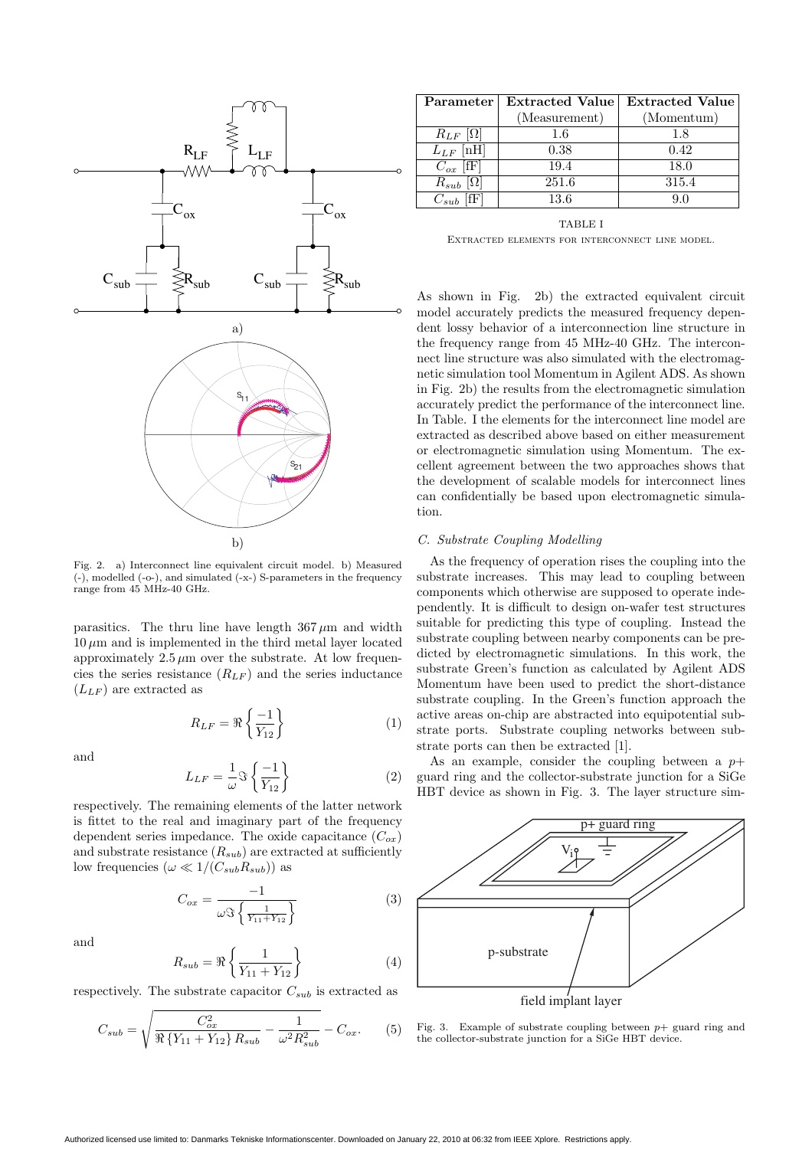

Fig. 2. a) Interconnect line equivalent circuit model. b) Measured (-), modelled (-o-), and simulated (-x-) S-parameters in the frequency range from 45 MHz-40 GHz.

parasitics. The thru line have length  $367 \mu m$  and width  $10 \mu m$  and is implemented in the third metal layer located approximately  $2.5 \mu m$  over the substrate. At low frequencies the series resistance  $(R_{LF})$  and the series inductance  $(L_{LF})$  are extracted as

$$
R_{LF} = \Re\left\{\frac{-1}{Y_{12}}\right\} \tag{1}
$$

and

$$
L_{LF} = \frac{1}{\omega} \Im \left\{ \frac{-1}{Y_{12}} \right\} \tag{2}
$$

respectively. The remaining elements of the latter network is fittet to the real and imaginary part of the frequency dependent series impedance. The oxide capacitance  $(C_{ox})$ and substrate resistance  $(R_{sub})$  are extracted at sufficiently low frequencies  $(\omega \ll 1/(C_{sub}R_{sub}))$  as

$$
C_{ox} = \frac{-1}{\omega \Im \left\{ \frac{1}{Y_{11} + Y_{12}} \right\}} \tag{3}
$$

and

$$
R_{sub} = \Re\left\{\frac{1}{Y_{11} + Y_{12}}\right\}
$$
 (4)

respectively. The substrate capacitor  $C_{sub}$  is extracted as

$$
C_{sub} = \sqrt{\frac{C_{ox}^2}{\Re\left\{Y_{11} + Y_{12}\right\}R_{sub}} - \frac{1}{\omega^2 R_{sub}^2} - C_{ox}}.
$$
 (5)

| Parameter                | Extracted Value Extracted Value |            |
|--------------------------|---------------------------------|------------|
|                          | (Measurement)                   | (Momentum) |
| $R_{LF}$ [ $\Omega$ ]    | 1.6                             | 1.8        |
| $L_{LF}$                 | 0.38                            | 0.42       |
| $[{\rm fF}]$<br>$C_{ox}$ | 19.4                            | 18.0       |
| $R_{sub}$                | 251.6                           | 315.4      |
| $C_{sub}$                | 13.6                            |            |

TABLE I Extracted elements for interconnect line model.

As shown in Fig. 2b) the extracted equivalent circuit model accurately predicts the measured frequency dependent lossy behavior of a interconnection line structure in the frequency range from 45 MHz-40 GHz. The interconnect line structure was also simulated with the electromagnetic simulation tool Momentum in Agilent ADS. As shown in Fig. 2b) the results from the electromagnetic simulation accurately predict the performance of the interconnect line. In Table. I the elements for the interconnect line model are extracted as described above based on either measurement or electromagnetic simulation using Momentum. The excellent agreement between the two approaches shows that the development of scalable models for interconnect lines can confidentially be based upon electromagnetic simulation.

#### C. Substrate Coupling Modelling

As the frequency of operation rises the coupling into the substrate increases. This may lead to coupling between components which otherwise are supposed to operate independently. It is difficult to design on-wafer test structures suitable for predicting this type of coupling. Instead the substrate coupling between nearby components can be predicted by electromagnetic simulations. In this work, the substrate Green's function as calculated by Agilent ADS Momentum have been used to predict the short-distance substrate coupling. In the Green's function approach the active areas on-chip are abstracted into equipotential substrate ports. Substrate coupling networks between substrate ports can then be extracted [1].

As an example, consider the coupling between a  $p+$ guard ring and the collector-substrate junction for a SiGe HBT device as shown in Fig. 3. The layer structure sim-



Fig. 3. Example of substrate coupling between  $p+$  guard ring and the collector-substrate junction for a SiGe HBT device.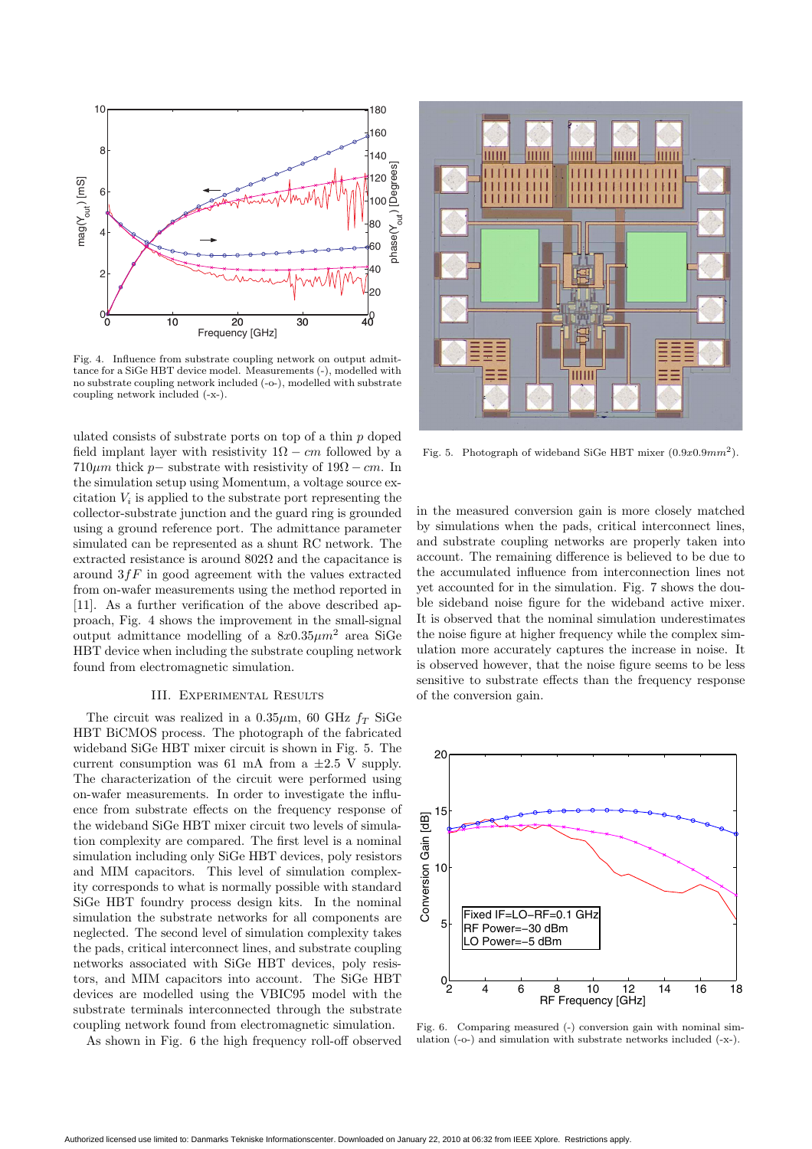

Fig. 4. Influence from substrate coupling network on output admittance for a SiGe HBT device model. Measurements (-), modelled with no substrate coupling network included (-o-), modelled with substrate coupling network included (-x-).

ulated consists of substrate ports on top of a thin p doped field implant layer with resistivity  $1\Omega - cm$  followed by a  $710\mu m$  thick p– substrate with resistivity of  $19\Omega$  – cm. In the simulation setup using Momentum, a voltage source excitation  $V_i$  is applied to the substrate port representing the collector-substrate junction and the guard ring is grounded using a ground reference port. The admittance parameter simulated can be represented as a shunt RC network. The extracted resistance is around  $802\Omega$  and the capacitance is around  $3fF$  in good agreement with the values extracted from on-wafer measurements using the method reported in [11]. As a further verification of the above described approach, Fig. 4 shows the improvement in the small-signal output admittance modelling of a  $8x0.35\mu m^2$  area SiGe HBT device when including the substrate coupling network found from electromagnetic simulation.

## III. Experimental Results

The circuit was realized in a  $0.35\mu$ m, 60 GHz  $f_T$  SiGe HBT BiCMOS process. The photograph of the fabricated wideband SiGe HBT mixer circuit is shown in Fig. 5. The current consumption was 61 mA from a  $\pm 2.5$  V supply. The characterization of the circuit were performed using on-wafer measurements. In order to investigate the influence from substrate effects on the frequency response of the wideband SiGe HBT mixer circuit two levels of simulation complexity are compared. The first level is a nominal simulation including only SiGe HBT devices, poly resistors and MIM capacitors. This level of simulation complexity corresponds to what is normally possible with standard SiGe HBT foundry process design kits. In the nominal simulation the substrate networks for all components are neglected. The second level of simulation complexity takes the pads, critical interconnect lines, and substrate coupling networks associated with SiGe HBT devices, poly resistors, and MIM capacitors into account. The SiGe HBT devices are modelled using the VBIC95 model with the substrate terminals interconnected through the substrate coupling network found from electromagnetic simulation.

As shown in Fig. 6 the high frequency roll-off observed



Fig. 5. Photograph of wideband SiGe HBT mixer  $(0.9x0.9mm^2)$ .

in the measured conversion gain is more closely matched by simulations when the pads, critical interconnect lines, and substrate coupling networks are properly taken into account. The remaining difference is believed to be due to the accumulated influence from interconnection lines not yet accounted for in the simulation. Fig. 7 shows the double sideband noise figure for the wideband active mixer. It is observed that the nominal simulation underestimates the noise figure at higher frequency while the complex simulation more accurately captures the increase in noise. It is observed however, that the noise figure seems to be less sensitive to substrate effects than the frequency response of the conversion gain.



Fig. 6. Comparing measured (-) conversion gain with nominal simulation (-o-) and simulation with substrate networks included (-x-).